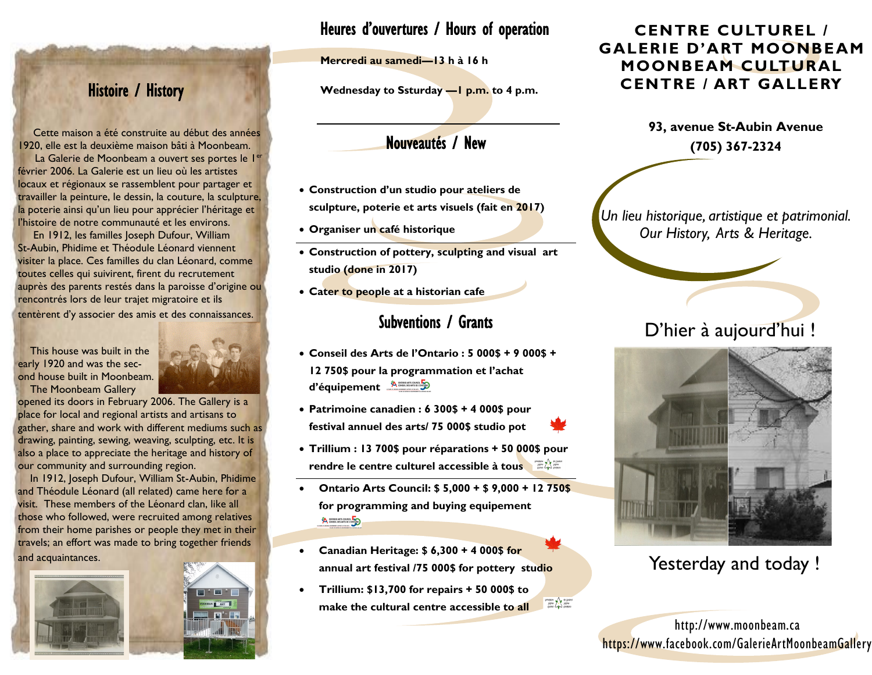# Histoire / History

 Cette maison a été construite au début des années 1920, elle est la deuxième maison bâti à Moonbeam.

La Galerie de Moonbeam a ouvert ses portes le l<sup>er</sup> février 2006. La Galerie est un lieu où les artistes locaux et régionaux se rassemblent pour partager et travailler la peinture, le dessin, la couture, la sculpture, la poterie ainsi qu'un lieu pour apprécier l'héritage et l'histoire de notre communauté et les environs.

 En 1912, les familles Joseph Dufour, William St-Aubin, Phidime et Théodule Léonard viennent visiter la place. Ces familles du clan Léonard, comme toutes celles qui suivirent, firent du recrutement auprès des parents restés dans la paroisse d'origine ou rencontrés lors de leur trajet migratoire et ils

tentèrent d'y associer des amis et des connaissances.

 This house was built in the early 1920 and was the second house built in Moonbeam. The Moonbeam Gallery



opened its doors in February 2006. The Gallery is a place for local and regional artists and artisans to gather, share and work with different mediums such as drawing, painting, sewing, weaving, sculpting, etc. It is also a place to appreciate the heritage and history of our community and surrounding region.

 In 1912, Joseph Dufour, William St-Aubin, Phidime and Théodule Léonard (all related) came here for a visit. These members of the Léonard clan, like all those who followed, were recruited among relatives from their home parishes or people they met in their travels; an effort was made to bring together friends and acquaintances.



## Heures d'ouvertures / Hours of operation

**Mercredi au samedi—13 h à 16 h** 

**Wednesday to Ssturday —1 p.m. to 4 p.m.** 

## Nouveautés / New

- **Construction d'un studio pour ateliers de sculpture, poterie et arts visuels (fait en 2017)**
- **Organiser un café historique**
- **Construction of pottery, sculpting and visual art studio (done in 2017)**
- **Cater to people at a historian cafe**

## Subventions / Grants

- **Conseil des Arts de l'Ontario : 5 000\$ + 9 000\$ + 12 750\$ pour la programmation et l'achat**  d'équipement
- **Patrimoine canadien : 6 300\$ + 4 000\$ pour festival annuel des arts/ 75 000\$ studio pot**
- **Trillium : 13 700\$ pour réparations + 50 000\$ pour rendre le centre culturel accessible à tous**
- **Ontario Arts Council: \$ 5,000 + \$ 9,000 + 12 750\$ for programming and buying equipement** A CONTARIO ARTS COUNCIL AND CONTARIO
- **Canadian Heritage: \$ 6,300 + 4 000\$ for annual art festival /75 000\$ for pottery studio**
- **Trillium: \$13,700 for repairs + 50 000\$ to Draw Car Holden**<br>Read Palace<br>Holden Car Reader **make the cultural centre accessible to all**

### **CENTRE CULTUREL / GALERIE D'ART MOONBEAM MOONBEAM CULTURAL CENTRE / ART GALLERY**

*Un lieu historique, artistique et patrimonial. Our History, Arts & Heritage.*

# D'hier à aujourd'hui !



Yesterday and today !

http://www.moonbeam.ca https://www.facebook.com/GalerieArtMoonbeamGallery

**<sup>93,</sup> avenue St-Aubin Avenue (705) 367-2324**